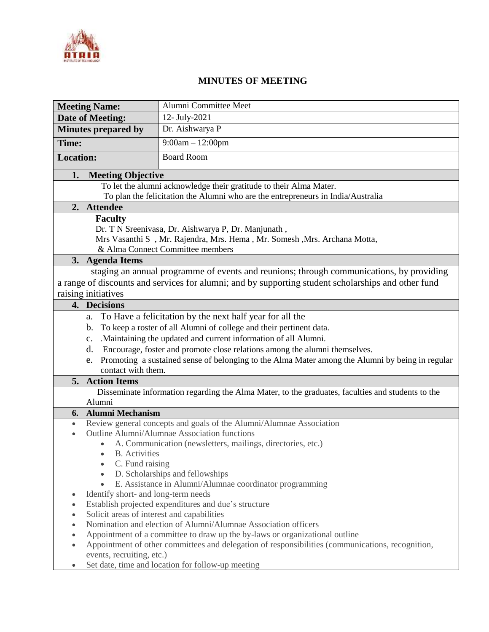

## **MINUTES OF MEETING**

|                                                                                                     | <b>Meeting Name:</b>                                                                                                               | Alumni Committee Meet                                                                            |
|-----------------------------------------------------------------------------------------------------|------------------------------------------------------------------------------------------------------------------------------------|--------------------------------------------------------------------------------------------------|
| <b>Date of Meeting:</b>                                                                             |                                                                                                                                    | 12- July-2021                                                                                    |
| <b>Minutes prepared by</b>                                                                          |                                                                                                                                    | Dr. Aishwarya P                                                                                  |
| Time:                                                                                               |                                                                                                                                    | $9:00am - 12:00pm$                                                                               |
| <b>Location:</b>                                                                                    |                                                                                                                                    | <b>Board Room</b>                                                                                |
| 1.<br><b>Meeting Objective</b>                                                                      |                                                                                                                                    |                                                                                                  |
|                                                                                                     | To let the alumni acknowledge their gratitude to their Alma Mater.                                                                 |                                                                                                  |
|                                                                                                     | To plan the felicitation the Alumni who are the entrepreneurs in India/Australia                                                   |                                                                                                  |
| 2. Attendee                                                                                         |                                                                                                                                    |                                                                                                  |
|                                                                                                     | <b>Faculty</b>                                                                                                                     |                                                                                                  |
|                                                                                                     | Dr. T N Sreenivasa, Dr. Aishwarya P, Dr. Manjunath,<br>Mrs Vasanthi S , Mr. Rajendra, Mrs. Hema , Mr. Somesh , Mrs. Archana Motta, |                                                                                                  |
|                                                                                                     | & Alma Connect Committee members                                                                                                   |                                                                                                  |
| 3. Agenda Items                                                                                     |                                                                                                                                    |                                                                                                  |
| staging an annual programme of events and reunions; through communications, by providing            |                                                                                                                                    |                                                                                                  |
| a range of discounts and services for alumni; and by supporting student scholarships and other fund |                                                                                                                                    |                                                                                                  |
| raising initiatives                                                                                 |                                                                                                                                    |                                                                                                  |
| 4. Decisions                                                                                        |                                                                                                                                    |                                                                                                  |
| To Have a felicitation by the next half year for all the<br>a.                                      |                                                                                                                                    |                                                                                                  |
|                                                                                                     | To keep a roster of all Alumni of college and their pertinent data.<br>b.                                                          |                                                                                                  |
|                                                                                                     | . Maintaining the updated and current information of all Alumni.<br>c.                                                             |                                                                                                  |
|                                                                                                     | Encourage, foster and promote close relations among the alumni themselves.<br>d.                                                   |                                                                                                  |
|                                                                                                     | Promoting a sustained sense of belonging to the Alma Mater among the Alumni by being in regular<br>e.                              |                                                                                                  |
|                                                                                                     | contact with them.                                                                                                                 |                                                                                                  |
| 5. Action Items                                                                                     |                                                                                                                                    |                                                                                                  |
| Disseminate information regarding the Alma Mater, to the graduates, faculties and students to the   |                                                                                                                                    |                                                                                                  |
| Alumni                                                                                              |                                                                                                                                    |                                                                                                  |
| 6.                                                                                                  | <b>Alumni Mechanism</b>                                                                                                            |                                                                                                  |
| $\bullet$                                                                                           | Review general concepts and goals of the Alumni/Alumnae Association                                                                |                                                                                                  |
| $\bullet$                                                                                           | Outline Alumni/Alumnae Association functions                                                                                       |                                                                                                  |
|                                                                                                     | A. Communication (newsletters, mailings, directories, etc.)<br><b>B.</b> Activities                                                |                                                                                                  |
|                                                                                                     | C. Fund raising                                                                                                                    |                                                                                                  |
|                                                                                                     | $\bullet$                                                                                                                          | D. Scholarships and fellowships                                                                  |
|                                                                                                     | $\bullet$                                                                                                                          | E. Assistance in Alumni/Alumnae coordinator programming                                          |
|                                                                                                     | Identify short- and long-term needs                                                                                                |                                                                                                  |
| $\bullet$                                                                                           | Establish projected expenditures and due's structure                                                                               |                                                                                                  |
|                                                                                                     | Solicit areas of interest and capabilities                                                                                         |                                                                                                  |
|                                                                                                     | Nomination and election of Alumni/Alumnae Association officers                                                                     |                                                                                                  |
| $\bullet$                                                                                           | Appointment of a committee to draw up the by-laws or organizational outline                                                        |                                                                                                  |
| $\bullet$                                                                                           |                                                                                                                                    | Appointment of other committees and delegation of responsibilities (communications, recognition, |
|                                                                                                     | events, recruiting, etc.)                                                                                                          |                                                                                                  |
|                                                                                                     |                                                                                                                                    | Set date, time and location for follow-up meeting                                                |